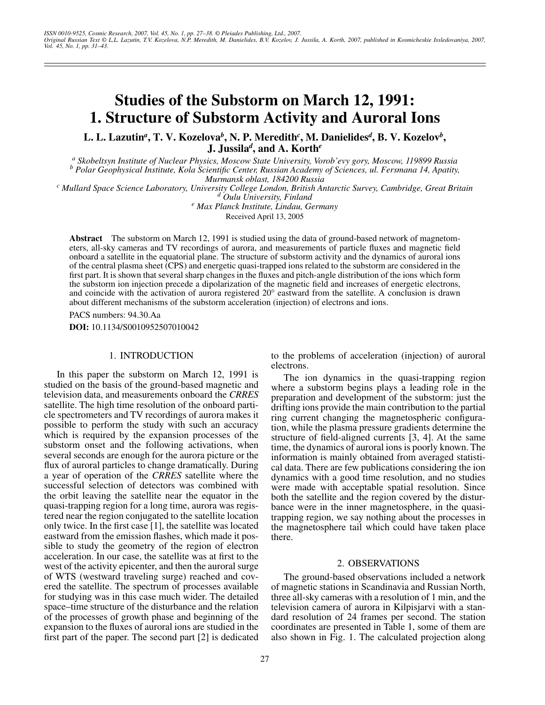# **Studies of the Substorm on March 12, 1991: 1. Structure of Substorm Activity and Auroral Ions**

**L. L. Lazutin***<sup>a</sup>***, T. V. Kozelova***<sup>b</sup>***, N. P. Meredith***<sup>c</sup>* **, M. Danielides***<sup>d</sup>* **, B. V. Kozelov***<sup>b</sup>***, J. Jussila***<sup>d</sup>***, and A. Korth***<sup>e</sup>*

*a Skobeltsyn Institute of Nuclear Physics, Moscow State University, Vorob'evy gory, Moscow, 119899 Russia b Polar Geophysical Institute, Kola Scientific Center, Russian Academy of Sciences, ul. Fersmana 14, Apatity,*

*Murmansk oblast, 184200 Russia <sup>c</sup> Mullard Space Science Laboratory, University College London, British Antarctic Survey, Cambridge, Great Britain <sup>d</sup> Oulu University, Finland <sup>e</sup>*

 *Max Planck Institute, Lindau, Germany* Received April 13, 2005

**Abstract**—The substorm on March 12, 1991 is studied using the data of ground-based network of magnetometers, all-sky cameras and TV recordings of aurora, and measurements of particle fluxes and magnetic field onboard a satellite in the equatorial plane. The structure of substorm activity and the dynamics of auroral ions of the central plasma sheet (CPS) and energetic quasi-trapped ions related to the substorm are considered in the first part. It is shown that several sharp changes in the fluxes and pitch-angle distribution of the ions which form the substorm ion injection precede a dipolarization of the magnetic field and increases of energetic electrons, and coincide with the activation of aurora registered 20° eastward from the satellite. A conclusion is drawn about different mechanisms of the substorm acceleration (injection) of electrons and ions.

PACS numbers: 94.30.Aa

**DOI:** 10.1134/S0010952507010042

# 1. INTRODUCTION

In this paper the substorm on March 12, 1991 is studied on the basis of the ground-based magnetic and television data, and measurements onboard the *CRRES* satellite. The high time resolution of the onboard particle spectrometers and TV recordings of aurora makes it possible to perform the study with such an accuracy which is required by the expansion processes of the substorm onset and the following activations, when several seconds are enough for the aurora picture or the flux of auroral particles to change dramatically. During a year of operation of the *CRRES* satellite where the successful selection of detectors was combined with the orbit leaving the satellite near the equator in the quasi-trapping region for a long time, aurora was registered near the region conjugated to the satellite location only twice. In the first case [1], the satellite was located eastward from the emission flashes, which made it possible to study the geometry of the region of electron acceleration. In our case, the satellite was at first to the west of the activity epicenter, and then the auroral surge of WTS (westward traveling surge) reached and covered the satellite. The spectrum of processes available for studying was in this case much wider. The detailed space–time structure of the disturbance and the relation of the processes of growth phase and beginning of the expansion to the fluxes of auroral ions are studied in the first part of the paper. The second part [2] is dedicated to the problems of acceleration (injection) of auroral electrons.

The ion dynamics in the quasi-trapping region where a substorm begins plays a leading role in the preparation and development of the substorm: just the drifting ions provide the main contribution to the partial ring current changing the magnetospheric configuration, while the plasma pressure gradients determine the structure of field-aligned currents [3, 4]. At the same time, the dynamics of auroral ions is poorly known. The information is mainly obtained from averaged statistical data. There are few publications considering the ion dynamics with a good time resolution, and no studies were made with acceptable spatial resolution. Since both the satellite and the region covered by the disturbance were in the inner magnetosphere, in the quasitrapping region, we say nothing about the processes in the magnetosphere tail which could have taken place there.

## 2. OBSERVATIONS

The ground-based observations included a network of magnetic stations in Scandinavia and Russian North, three all-sky cameras with a resolution of 1 min, and the television camera of aurora in Kilpisjarvi with a standard resolution of 24 frames per second. The station coordinates are presented in Table 1, some of them are also shown in Fig. 1. The calculated projection along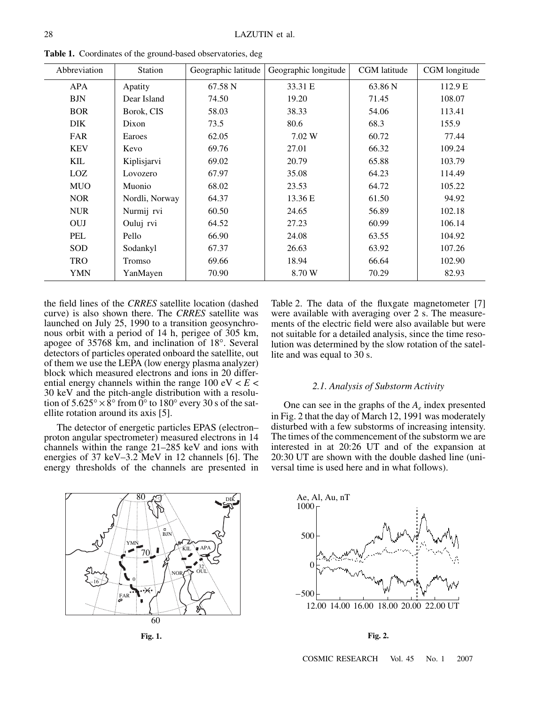| Abbreviation | <b>Station</b> | Geographic latitude | Geographic longitude | CGM latitude | CGM longitude |
|--------------|----------------|---------------------|----------------------|--------------|---------------|
| <b>APA</b>   | Apatity        | 67.58 N             | 33.31 E              | 63.86 N      | 112.9 E       |
| <b>BJN</b>   | Dear Island    | 74.50               | 19.20                | 71.45        | 108.07        |
| <b>BOR</b>   | Borok, CIS     | 58.03               | 38.33                | 54.06        | 113.41        |
| DIK.         | Dixon          | 73.5                | 80.6                 | 68.3         | 155.9         |
| <b>FAR</b>   | Earoes         | 62.05               | 7.02 W               | 60.72        | 77.44         |
| <b>KEV</b>   | Kevo           | 69.76               | 27.01                | 66.32        | 109.24        |
| <b>KIL</b>   | Kiplisjarvi    | 69.02               | 20.79                | 65.88        | 103.79        |
| LOZ.         | Lovozero       | 67.97               | 35.08                | 64.23        | 114.49        |
| <b>MUO</b>   | Muonio         | 68.02               | 23.53                | 64.72        | 105.22        |
| <b>NOR</b>   | Nordli, Norway | 64.37               | 13.36 E              | 61.50        | 94.92         |
| <b>NUR</b>   | Nurmij rvi     | 60.50               | 24.65                | 56.89        | 102.18        |
| <b>OUJ</b>   | Ouluj rvi      | 64.52               | 27.23                | 60.99        | 106.14        |
| PEL          | Pello          | 66.90               | 24.08                | 63.55        | 104.92        |
| <b>SOD</b>   | Sodankyl       | 67.37               | 26.63                | 63.92        | 107.26        |
| <b>TRO</b>   | Tromso         | 69.66               | 18.94                | 66.64        | 102.90        |
| <b>YMN</b>   | YanMayen       | 70.90               | 8.70 W               | 70.29        | 82.93         |

**Table 1.** Coordinates of the ground-based observatories, deg

the field lines of the *CRRES* satellite location (dashed curve) is also shown there. The *CRRES* satellite was launched on July 25, 1990 to a transition geosynchronous orbit with a period of 14 h, perigee of 305 km, apogee of 35768 km, and inclination of 18°. Several detectors of particles operated onboard the satellite, out of them we use the LEPA (low energy plasma analyzer) block which measured electrons and ions in 20 differential energy channels within the range  $100 \text{ eV} < E <$ 30 keV and the pitch-angle distribution with a resolution of  $5.625^{\circ} \times 8^{\circ}$  from 0° to 180° every 30 s of the satellite rotation around its axis [5].

The detector of energetic particles EPAS (electron– proton angular spectrometer) measured electrons in 14 channels within the range 21–285 keV and ions with energies of 37 keV–3.2 MeV in 12 channels [6]. The energy thresholds of the channels are presented in



**Fig. 1.**

Table 2. The data of the fluxgate magnetometer [7] were available with averaging over 2 s. The measurements of the electric field were also available but were not suitable for a detailed analysis, since the time resolution was determined by the slow rotation of the satellite and was equal to 30 s.

## *2.1. Analysis of Substorm Activity*

One can see in the graphs of the  $A_e$  index presented in Fig. 2 that the day of March 12, 1991 was moderately disturbed with a few substorms of increasing intensity. The times of the commencement of the substorm we are interested in at 20:26 UT and of the expansion at 20:30 UT are shown with the double dashed line (universal time is used here and in what follows).



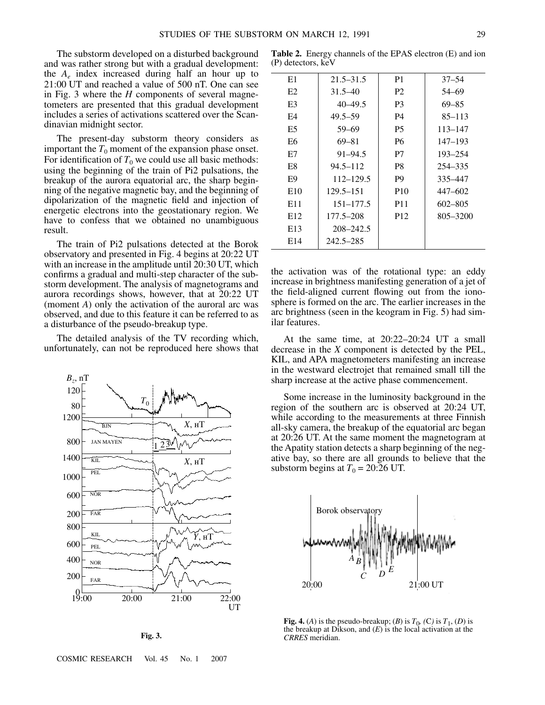The substorm developed on a disturbed background and was rather strong but with a gradual development: the  $A_e$  index increased during half an hour up to 21:00 UT and reached a value of 500 nT. One can see in Fig. 3 where the *H* components of several magnetometers are presented that this gradual development includes a series of activations scattered over the Scandinavian midnight sector.

The present-day substorm theory considers as important the  $T_0$  moment of the expansion phase onset. For identification of  $T_0$  we could use all basic methods: using the beginning of the train of Pi2 pulsations, the breakup of the aurora equatorial arc, the sharp beginning of the negative magnetic bay, and the beginning of dipolarization of the magnetic field and injection of energetic electrons into the geostationary region. We have to confess that we obtained no unambiguous result.

The train of Pi2 pulsations detected at the Borok observatory and presented in Fig. 4 begins at 20:22 UT with an increase in the amplitude until 20:30 UT, which confirms a gradual and multi-step character of the substorm development. The analysis of magnetograms and aurora recordings shows, however, that at 20:22 UT (moment *A*) only the activation of the auroral arc was observed, and due to this feature it can be referred to as a disturbance of the pseudo-breakup type.

The detailed analysis of the TV recording which, unfortunately, can not be reproduced here shows that

200  $19:00$  20:00 21:00 22:00 **UT** 400 600 800 200 600 1000 1400 1200 80 120 800 *Bz*, nT  $T<sub>0</sub>$ **RIN** JAN MAYEN KIL PEL NOR FAR KIL PEL NOR FAR , нТ  $X$ ,  $H$ T  $X$ , нТ  $23<sup>y</sup>$ 

**Fig. 3.**

COSMIC RESEARCH Vol. 45 No. 1 2007

**Table 2.** Energy channels of the EPAS electron (E) and ion (P) detectors, keV

| E1              | $21.5 - 31.5$ | P <sub>1</sub>  | $37 - 54$   |
|-----------------|---------------|-----------------|-------------|
| E2              | $31.5 - 40$   | P <sub>2</sub>  | 54–69       |
| E3              | $40 - 49.5$   | P <sub>3</sub>  | $69 - 85$   |
| F4              | $49.5 - 59$   | P4              | $85 - 113$  |
| E5              | 59-69         | <b>P5</b>       | 113–147     |
| E6              | 69-81         | <b>P6</b>       | 147–193     |
| E7              | $91 - 94.5$   | P7              | 193-254     |
| E8              | $94.5 - 112$  | P8              | 254-335     |
| E9              | 112–129.5     | P <sub>9</sub>  | 335–447     |
| E <sub>10</sub> | 129.5–151     | <b>P10</b>      | 447-602     |
| E11             | $151 - 177.5$ | <b>P11</b>      | $602 - 805$ |
| E <sub>12</sub> | 177.5–208     | P <sub>12</sub> | 805-3200    |
| E <sub>13</sub> | 208-242.5     |                 |             |
| E <sub>14</sub> | 242.5–285     |                 |             |

the activation was of the rotational type: an eddy increase in brightness manifesting generation of a jet of the field-aligned current flowing out from the ionosphere is formed on the arc. The earlier increases in the arc brightness (seen in the keogram in Fig. 5) had similar features.

At the same time, at 20:22–20:24 UT a small decrease in the *X* component is detected by the PEL, KIL, and APA magnetometers manifesting an increase in the westward electrojet that remained small till the sharp increase at the active phase commencement.

Some increase in the luminosity background in the region of the southern arc is observed at 20:24 UT, while according to the measurements at three Finnish all-sky camera, the breakup of the equatorial arc began at 20:26 UT. At the same moment the magnetogram at the Apatity station detects a sharp beginning of the negative bay, so there are all grounds to believe that the substorm begins at  $T_0 = 20:26$  UT.



**Fig. 4.** (*A*) is the pseudo-breakup; (*B*) is  $T_0$ , (*C*) is  $T_1$ , (*D*) is the breakup at Dikson, and (*E*) is the local activation at the *CRRES* meridian.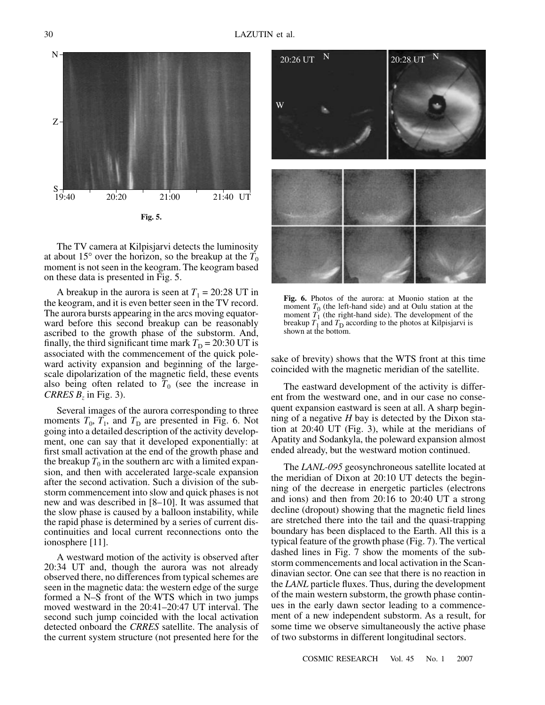

The TV camera at Kilpisjarvi detects the luminosity at about 15 $\degree$  over the horizon, so the breakup at the  $T_0$ moment is not seen in the keogram. The keogram based on these data is presented in Fig. 5.

A breakup in the aurora is seen at  $T_1 = 20:28$  UT in the keogram, and it is even better seen in the TV record. The aurora bursts appearing in the arcs moving equatorward before this second breakup can be reasonably ascribed to the growth phase of the substorm. And, finally, the third significant time mark  $T<sub>D</sub> = 20:30 \text{ UT}$  is associated with the commencement of the quick poleward activity expansion and beginning of the largescale dipolarization of the magnetic field, these events also being often related to  $T_0$  (see the increase in *CRRES*  $B_z$  in Fig. 3).

Several images of the aurora corresponding to three moments  $T_0$ ,  $T_1$ , and  $T_D$  are presented in Fig. 6. Not going into a detailed description of the activity development, one can say that it developed exponentially: at first small activation at the end of the growth phase and the breakup  $T_0$  in the southern arc with a limited expansion, and then with accelerated large-scale expansion after the second activation. Such a division of the substorm commencement into slow and quick phases is not new and was described in [8–10]. It was assumed that the slow phase is caused by a balloon instability, while the rapid phase is determined by a series of current discontinuities and local current reconnections onto the ionosphere [11].

A westward motion of the activity is observed after 20:34 UT and, though the aurora was not already observed there, no differences from typical schemes are seen in the magnetic data: the western edge of the surge formed a N–S front of the WTS which in two jumps moved westward in the 20:41–20:47 UT interval. The second such jump coincided with the local activation detected onboard the *CRRES* satellite. The analysis of the current system structure (not presented here for the



**Fig. 6.** Photos of the aurora: at Muonio station at the moment  $T_0$  (the left-hand side) and at Oulu station at the moment  $T_1$  (the right-hand side). The development of the breakup  $T_1$  and  $T_D$  according to the photos at Kilpisjarvi is shown at the bottom.

sake of brevity) shows that the WTS front at this time coincided with the magnetic meridian of the satellite.

The eastward development of the activity is different from the westward one, and in our case no consequent expansion eastward is seen at all. A sharp beginning of a negative *H* bay is detected by the Dixon station at 20:40 UT (Fig. 3), while at the meridians of Apatity and Sodankyla, the poleward expansion almost ended already, but the westward motion continued.

The *LANL-095* geosynchroneous satellite located at the meridian of Dixon at 20:10 UT detects the beginning of the decrease in energetic particles (electrons and ions) and then from 20:16 to 20:40 UT a strong decline (dropout) showing that the magnetic field lines are stretched there into the tail and the quasi-trapping boundary has been displaced to the Earth. All this is a typical feature of the growth phase (Fig. 7). The vertical dashed lines in Fig. 7 show the moments of the substorm commencements and local activation in the Scandinavian sector. One can see that there is no reaction in the *LANL* particle fluxes. Thus, during the development of the main western substorm, the growth phase continues in the early dawn sector leading to a commencement of a new independent substorm. As a result, for some time we observe simultaneously the active phase of two substorms in different longitudinal sectors.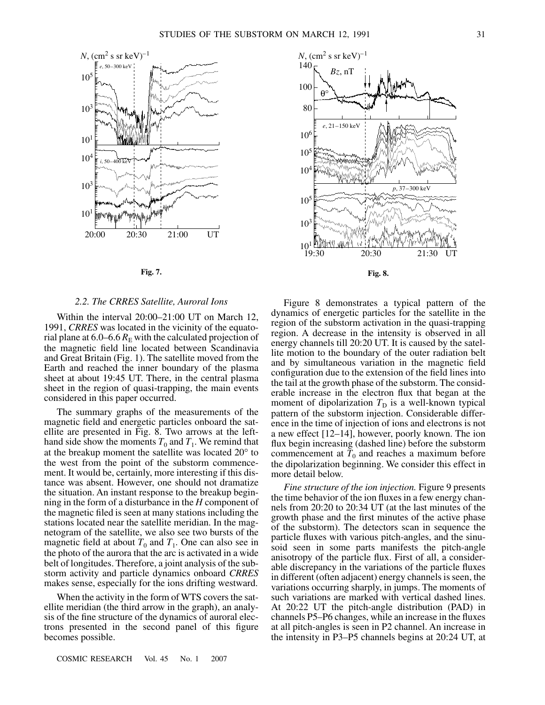

**Fig. 7.**

#### *2.2. The CRRES Satellite, Auroral Ions*

Within the interval 20:00–21:00 UT on March 12, 1991, *CRRES* was located in the vicinity of the equatorial plane at  $6.0-6.6$   $R_E$  with the calculated projection of the magnetic field line located between Scandinavia and Great Britain (Fig. 1). The satellite moved from the Earth and reached the inner boundary of the plasma sheet at about 19:45 UT. There, in the central plasma sheet in the region of quasi-trapping, the main events considered in this paper occurred.

The summary graphs of the measurements of the magnetic field and energetic particles onboard the satellite are presented in Fig. 8. Two arrows at the lefthand side show the moments  $T_0$  and  $T_1$ . We remind that at the breakup moment the satellite was located 20° to the west from the point of the substorm commencement. It would be, certainly, more interesting if this distance was absent. However, one should not dramatize the situation. An instant response to the breakup beginning in the form of a disturbance in the *H* component of the magnetic filed is seen at many stations including the stations located near the satellite meridian. In the magnetogram of the satellite, we also see two bursts of the magnetic field at about  $T_0$  and  $T_1$ . One can also see in the photo of the aurora that the arc is activated in a wide belt of longitudes. Therefore, a joint analysis of the substorm activity and particle dynamics onboard *CRRES* makes sense, especially for the ions drifting westward.

When the activity in the form of WTS covers the satellite meridian (the third arrow in the graph), an analysis of the fine structure of the dynamics of auroral electrons presented in the second panel of this figure becomes possible.



Figure 8 demonstrates a typical pattern of the dynamics of energetic particles for the satellite in the region of the substorm activation in the quasi-trapping region. A decrease in the intensity is observed in all energy channels till 20:20 UT. It is caused by the satellite motion to the boundary of the outer radiation belt and by simultaneous variation in the magnetic field configuration due to the extension of the field lines into the tail at the growth phase of the substorm. The considerable increase in the electron flux that began at the moment of dipolarization  $T_D$  is a well-known typical pattern of the substorm injection. Considerable difference in the time of injection of ions and electrons is not a new effect [12–14], however, poorly known. The ion flux begin increasing (dashed line) before the substorm commencement at  $T_0$  and reaches a maximum before the dipolarization beginning. We consider this effect in more detail below.

*Fine structure of the ion injection.* Figure 9 presents the time behavior of the ion fluxes in a few energy channels from 20:20 to 20:34 UT (at the last minutes of the growth phase and the first minutes of the active phase of the substorm). The detectors scan in sequence the particle fluxes with various pitch-angles, and the sinusoid seen in some parts manifests the pitch-angle anisotropy of the particle flux. First of all, a considerable discrepancy in the variations of the particle fluxes in different (often adjacent) energy channels is seen, the variations occurring sharply, in jumps. The moments of such variations are marked with vertical dashed lines. At 20:22 UT the pitch-angle distribution (PAD) in channels P5–P6 changes, while an increase in the fluxes at all pitch-angles is seen in P2 channel. An increase in the intensity in P3–P5 channels begins at 20:24 UT, at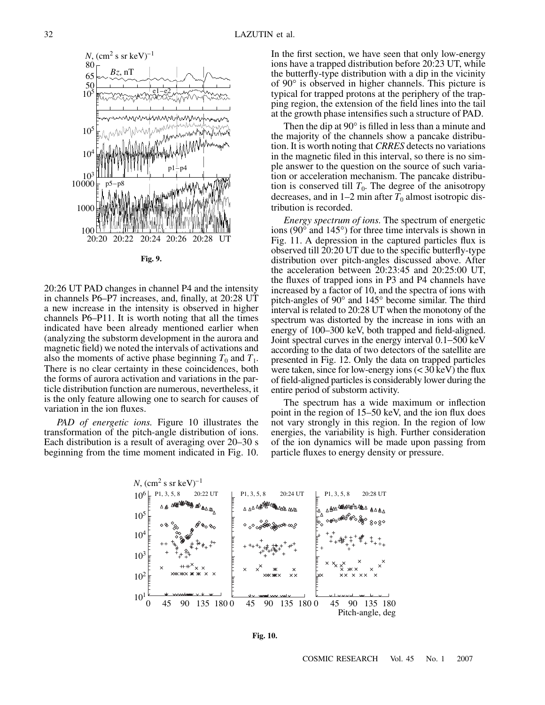

20:26 UT PAD changes in channel P4 and the intensity in channels P6–P7 increases, and, finally, at 20:28 UT a new increase in the intensity is observed in higher channels P6–P11. It is worth noting that all the times indicated have been already mentioned earlier when (analyzing the substorm development in the aurora and magnetic field) we noted the intervals of activations and also the moments of active phase beginning  $T_0$  and  $T_1$ . There is no clear certainty in these coincidences, both the forms of aurora activation and variations in the particle distribution function are numerous, nevertheless, it is the only feature allowing one to search for causes of variation in the ion fluxes.

*PAD of energetic ions.* Figure 10 illustrates the transformation of the pitch-angle distribution of ions. Each distribution is a result of averaging over 20–30 s beginning from the time moment indicated in Fig. 10. In the first section, we have seen that only low-energy ions have a trapped distribution before 20:23 UT, while the butterfly-type distribution with a dip in the vicinity of 90° is observed in higher channels. This picture is typical for trapped protons at the periphery of the trapping region, the extension of the field lines into the tail at the growth phase intensifies such a structure of PAD.

Then the dip at 90° is filled in less than a minute and the majority of the channels show a pancake distribution. It is worth noting that *CRRES* detects no variations in the magnetic filed in this interval, so there is no simple answer to the question on the source of such variation or acceleration mechanism. The pancake distribution is conserved till  $T_0$ . The degree of the anisotropy decreases, and in  $1-2$  min after  $T_0$  almost isotropic distribution is recorded.

*Energy spectrum of ions.* The spectrum of energetic ions (90° and 145°) for three time intervals is shown in Fig. 11. A depression in the captured particles flux is observed till 20:20 UT due to the specific butterfly-type distribution over pitch-angles discussed above. After the acceleration between 20:23:45 and 20:25:00 UT, the fluxes of trapped ions in P3 and P4 channels have increased by a factor of 10, and the spectra of ions with pitch-angles of 90° and 145° become similar. The third interval is related to 20:28 UT when the monotony of the spectrum was distorted by the increase in ions with an energy of 100–300 keV, both trapped and field-aligned. Joint spectral curves in the energy interval 0.1−500 keV according to the data of two detectors of the satellite are presented in Fig. 12. Only the data on trapped particles were taken, since for low-energy ions  $( $30 \text{ keV}$ )$  the flux of field-aligned particles is considerably lower during the entire period of substorm activity.

The spectrum has a wide maximum or inflection point in the region of 15–50 keV, and the ion flux does not vary strongly in this region. In the region of low energies, the variability is high. Further consideration of the ion dynamics will be made upon passing from particle fluxes to energy density or pressure.



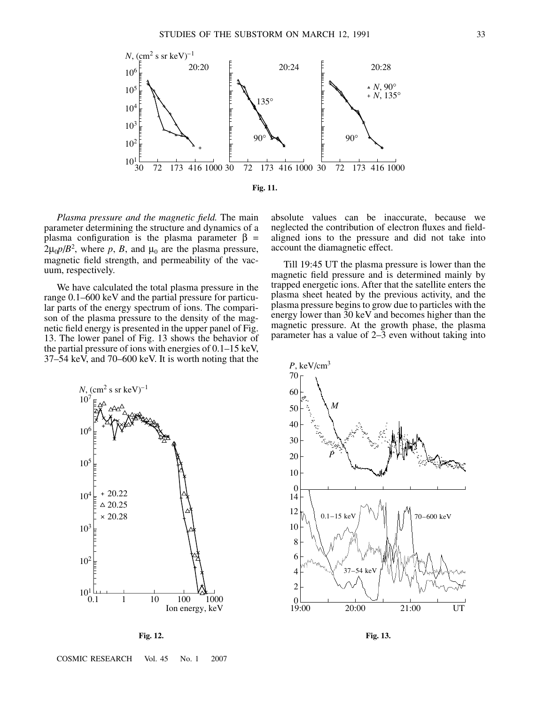

*Plasma pressure and the magnetic field.* The main parameter determining the structure and dynamics of a plasma configuration is the plasma parameter  $β =$  $2\mu_0 p/B^2$ , where p, B, and  $\mu_0$  are the plasma pressure, magnetic field strength, and permeability of the vacuum, respectively.

We have calculated the total plasma pressure in the range 0.1–600 keV and the partial pressure for particular parts of the energy spectrum of ions. The comparison of the plasma pressure to the density of the magnetic field energy is presented in the upper panel of Fig. 13. The lower panel of Fig. 13 shows the behavior of the partial pressure of ions with energies of 0.1–15 keV, 37–54 keV, and 70–600 keV. It is worth noting that the

absolute values can be inaccurate, because we neglected the contribution of electron fluxes and fieldaligned ions to the pressure and did not take into account the diamagnetic effect.

Till 19:45 UT the plasma pressure is lower than the magnetic field pressure and is determined mainly by trapped energetic ions. After that the satellite enters the plasma sheet heated by the previous activity, and the plasma pressure begins to grow due to particles with the energy lower than 30 keV and becomes higher than the magnetic pressure. At the growth phase, the plasma parameter has a value of 2–3 even without taking into



**Fig. 12.**



**Fig. 13.**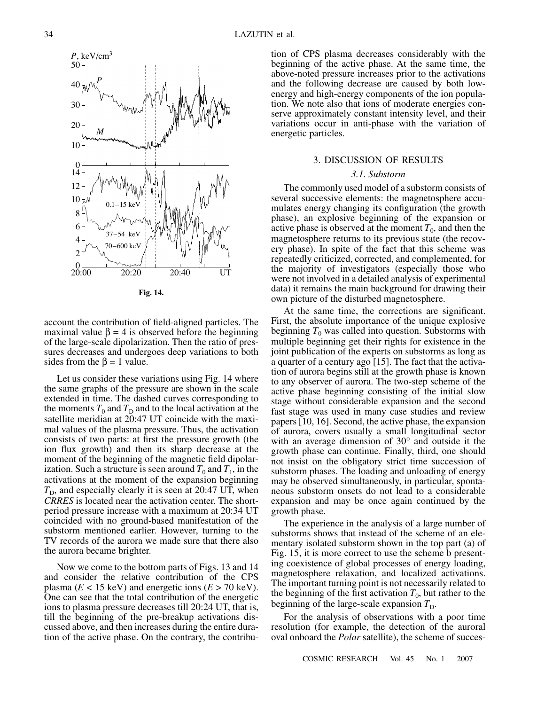

**Fig. 14.**

account the contribution of field-aligned particles. The maximal value  $\beta = 4$  is observed before the beginning of the large-scale dipolarization. Then the ratio of pressures decreases and undergoes deep variations to both sides from the  $\beta = 1$  value.

Let us consider these variations using Fig. 14 where the same graphs of the pressure are shown in the scale extended in time. The dashed curves corresponding to the moments  $T_0$  and  $T_D$  and to the local activation at the satellite meridian at 20:47 UT coincide with the maximal values of the plasma pressure. Thus, the activation consists of two parts: at first the pressure growth (the ion flux growth) and then its sharp decrease at the moment of the beginning of the magnetic field dipolarization. Such a structure is seen around  $T_0$  and  $T_1$ , in the activations at the moment of the expansion beginning  $T<sub>D</sub>$ , and especially clearly it is seen at 20:47 UT, when *CRRES* is located near the activation center. The shortperiod pressure increase with a maximum at 20:34 UT coincided with no ground-based manifestation of the substorm mentioned earlier. However, turning to the TV records of the aurora we made sure that there also the aurora became brighter.

Now we come to the bottom parts of Figs. 13 and 14 and consider the relative contribution of the CPS plasma ( $E < 15$  keV) and energetic ions ( $E > 70$  keV). One can see that the total contribution of the energetic ions to plasma pressure decreases till 20:24 UT, that is, till the beginning of the pre-breakup activations discussed above, and then increases during the entire duration of the active phase. On the contrary, the contribution of CPS plasma decreases considerably with the beginning of the active phase. At the same time, the above-noted pressure increases prior to the activations and the following decrease are caused by both lowenergy and high-energy components of the ion population. We note also that ions of moderate energies conserve approximately constant intensity level, and their variations occur in anti-phase with the variation of energetic particles.

### 3. DISCUSSION OF RESULTS

### *3.1. Substorm*

The commonly used model of a substorm consists of several successive elements: the magnetosphere accumulates energy changing its configuration (the growth phase), an explosive beginning of the expansion or active phase is observed at the moment  $T_0$ , and then the magnetosphere returns to its previous state (the recovery phase). In spite of the fact that this scheme was repeatedly criticized, corrected, and complemented, for the majority of investigators (especially those who were not involved in a detailed analysis of experimental data) it remains the main background for drawing their own picture of the disturbed magnetosphere.

At the same time, the corrections are significant. First, the absolute importance of the unique explosive beginning  $T_0$  was called into question. Substorms with multiple beginning get their rights for existence in the joint publication of the experts on substorms as long as a quarter of a century ago  $[15]$ . The fact that the activation of aurora begins still at the growth phase is known to any observer of aurora. The two-step scheme of the active phase beginning consisting of the initial slow stage without considerable expansion and the second fast stage was used in many case studies and review papers [10, 16]. Second, the active phase, the expansion of aurora, covers usually a small longitudinal sector with an average dimension of 30° and outside it the growth phase can continue. Finally, third, one should not insist on the obligatory strict time succession of substorm phases. The loading and unloading of energy may be observed simultaneously, in particular, spontaneous substorm onsets do not lead to a considerable expansion and may be once again continued by the growth phase.

The experience in the analysis of a large number of substorms shows that instead of the scheme of an elementary isolated substorm shown in the top part (a) of Fig. 15, it is more correct to use the scheme b presenting coexistence of global processes of energy loading, magnetosphere relaxation, and localized activations. The important turning point is not necessarily related to the beginning of the first activation  $T_0$ , but rather to the beginning of the large-scale expansion  $T_D$ .

For the analysis of observations with a poor time resolution (for example, the detection of the auroral oval onboard the *Polar* satellite), the scheme of succes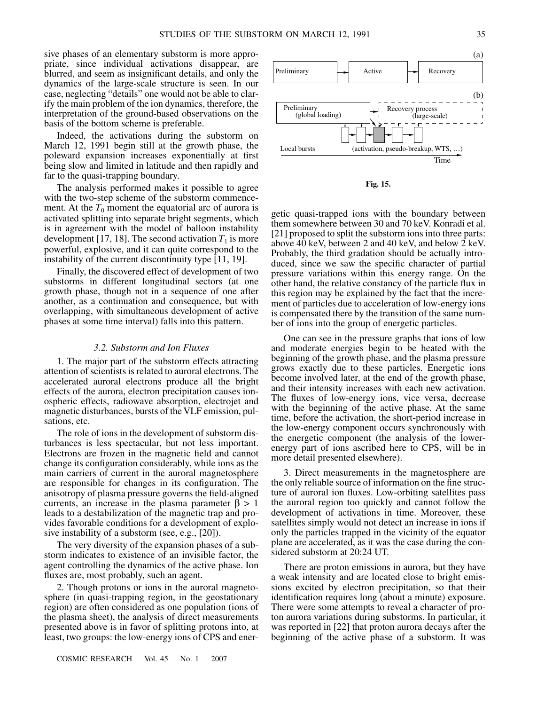sive phases of an elementary substorm is more appropriate, since individual activations disappear, are blurred, and seem as insignificant details, and only the dynamics of the large-scale structure is seen. In our case, neglecting "details" one would not be able to clarify the main problem of the ion dynamics, therefore, the interpretation of the ground-based observations on the basis of the bottom scheme is preferable.

Indeed, the activations during the substorm on March 12, 1991 begin still at the growth phase, the poleward expansion increases exponentially at first being slow and limited in latitude and then rapidly and far to the quasi-trapping boundary.

The analysis performed makes it possible to agree with the two-step scheme of the substorm commencement. At the  $T_0$  moment the equatorial arc of aurora is activated splitting into separate bright segments, which is in agreement with the model of balloon instability development [17, 18]. The second activation  $T_1$  is more powerful, explosive, and it can quite correspond to the instability of the current discontinuity type [11, 19].

Finally, the discovered effect of development of two substorms in different longitudinal sectors (at one growth phase, though not in a sequence of one after another, as a continuation and consequence, but with overlapping, with simultaneous development of active phases at some time interval) falls into this pattern.

#### *3.2. Substorm and Ion Fluxes*

1. The major part of the substorm effects attracting attention of scientists is related to auroral electrons. The accelerated auroral electrons produce all the bright effects of the aurora, electron precipitation causes ionospheric effects, radiowave absorption, electrojet and magnetic disturbances, bursts of the VLF emission, pulsations, etc.

The role of ions in the development of substorm disturbances is less spectacular, but not less important. Electrons are frozen in the magnetic field and cannot change its configuration considerably, while ions as the main carriers of current in the auroral magnetosphere are responsible for changes in its configuration. The anisotropy of plasma pressure governs the field-aligned currents, an increase in the plasma parameter  $\beta > 1$ leads to a destabilization of the magnetic trap and provides favorable conditions for a development of explosive instability of a substorm (see, e.g., [20]).

The very diversity of the expansion phases of a substorm indicates to existence of an invisible factor, the agent controlling the dynamics of the active phase. Ion fluxes are, most probably, such an agent.

2. Though protons or ions in the auroral magnetosphere (in quasi-trapping region, in the geostationary region) are often considered as one population (ions of the plasma sheet), the analysis of direct measurements presented above is in favor of splitting protons into, at least, two groups: the low-energy ions of CPS and ener-



**Fig. 15.**

getic quasi-trapped ions with the boundary between them somewhere between 30 and 70 keV. Konradi et al. [21] proposed to split the substorm ions into three parts: above 40 keV, between 2 and 40 keV, and below 2 keV. Probably, the third gradation should be actually introduced, since we saw the specific character of partial pressure variations within this energy range. On the other hand, the relative constancy of the particle flux in this region may be explained by the fact that the increment of particles due to acceleration of low-energy ions is compensated there by the transition of the same number of ions into the group of energetic particles.

One can see in the pressure graphs that ions of low and moderate energies begin to be heated with the beginning of the growth phase, and the plasma pressure grows exactly due to these particles. Energetic ions become involved later, at the end of the growth phase, and their intensity increases with each new activation. The fluxes of low-energy ions, vice versa, decrease with the beginning of the active phase. At the same time, before the activation, the short-period increase in the low-energy component occurs synchronously with the energetic component (the analysis of the lowerenergy part of ions ascribed here to CPS, will be in more detail presented elsewhere).

3. Direct measurements in the magnetosphere are the only reliable source of information on the fine structure of auroral ion fluxes. Low-orbiting satellites pass the auroral region too quickly and cannot follow the development of activations in time. Moreover, these satellites simply would not detect an increase in ions if only the particles trapped in the vicinity of the equator plane are accelerated, as it was the case during the considered substorm at 20:24 UT.

There are proton emissions in aurora, but they have a weak intensity and are located close to bright emissions excited by electron precipitation, so that their identification requires long (about a minute) exposure. There were some attempts to reveal a character of proton aurora variations during substorms. In particular, it was reported in [22] that proton aurora decays after the beginning of the active phase of a substorm. It was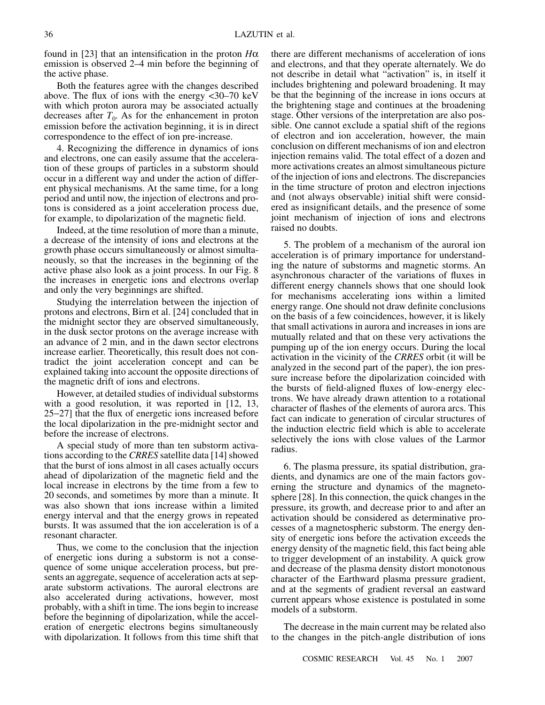found in [23] that an intensification in the proton *H*α emission is observed 2–4 min before the beginning of the active phase.

Both the features agree with the changes described above. The flux of ions with the energy  $\langle 30-70 \text{ keV} \rangle$ with which proton aurora may be associated actually decreases after  $T_0$ . As for the enhancement in proton emission before the activation beginning, it is in direct correspondence to the effect of ion pre-increase.

4. Recognizing the difference in dynamics of ions and electrons, one can easily assume that the acceleration of these groups of particles in a substorm should occur in a different way and under the action of different physical mechanisms. At the same time, for a long period and until now, the injection of electrons and protons is considered as a joint acceleration process due, for example, to dipolarization of the magnetic field.

Indeed, at the time resolution of more than a minute, a decrease of the intensity of ions and electrons at the growth phase occurs simultaneously or almost simultaneously, so that the increases in the beginning of the active phase also look as a joint process. In our Fig. 8 the increases in energetic ions and electrons overlap and only the very beginnings are shifted.

Studying the interrelation between the injection of protons and electrons, Birn et al. [24] concluded that in the midnight sector they are observed simultaneously, in the dusk sector protons on the average increase with an advance of 2 min, and in the dawn sector electrons increase earlier. Theoretically, this result does not contradict the joint acceleration concept and can be explained taking into account the opposite directions of the magnetic drift of ions and electrons.

However, at detailed studies of individual substorms with a good resolution, it was reported in [12, 13, 25−27] that the flux of energetic ions increased before the local dipolarization in the pre-midnight sector and before the increase of electrons.

A special study of more than ten substorm activations according to the *CRRES* satellite data [14] showed that the burst of ions almost in all cases actually occurs ahead of dipolarization of the magnetic field and the local increase in electrons by the time from a few to 20 seconds, and sometimes by more than a minute. It was also shown that ions increase within a limited energy interval and that the energy grows in repeated bursts. It was assumed that the ion acceleration is of a resonant character.

Thus, we come to the conclusion that the injection of energetic ions during a substorm is not a consequence of some unique acceleration process, but presents an aggregate, sequence of acceleration acts at separate substorm activations. The auroral electrons are also accelerated during activations, however, most probably, with a shift in time. The ions begin to increase before the beginning of dipolarization, while the acceleration of energetic electrons begins simultaneously with dipolarization. It follows from this time shift that

there are different mechanisms of acceleration of ions and electrons, and that they operate alternately. We do not describe in detail what "activation" is, in itself it includes brightening and poleward broadening. It may be that the beginning of the increase in ions occurs at the brightening stage and continues at the broadening stage. Other versions of the interpretation are also possible. One cannot exclude a spatial shift of the regions of electron and ion acceleration, however, the main conclusion on different mechanisms of ion and electron injection remains valid. The total effect of a dozen and more activations creates an almost simultaneous picture of the injection of ions and electrons. The discrepancies in the time structure of proton and electron injections and (not always observable) initial shift were considered as insignificant details, and the presence of some joint mechanism of injection of ions and electrons raised no doubts.

5. The problem of a mechanism of the auroral ion acceleration is of primary importance for understanding the nature of substorms and magnetic storms. An asynchronous character of the variations of fluxes in different energy channels shows that one should look for mechanisms accelerating ions within a limited energy range. One should not draw definite conclusions on the basis of a few coincidences, however, it is likely that small activations in aurora and increases in ions are mutually related and that on these very activations the pumping up of the ion energy occurs. During the local activation in the vicinity of the *CRRES* orbit (it will be analyzed in the second part of the paper), the ion pressure increase before the dipolarization coincided with the bursts of field-aligned fluxes of low-energy electrons. We have already drawn attention to a rotational character of flashes of the elements of aurora arcs. This fact can indicate to generation of circular structures of the induction electric field which is able to accelerate selectively the ions with close values of the Larmor radius.

6. The plasma pressure, its spatial distribution, gradients, and dynamics are one of the main factors governing the structure and dynamics of the magnetosphere [28]. In this connection, the quick changes in the pressure, its growth, and decrease prior to and after an activation should be considered as determinative processes of a magnetospheric substorm. The energy density of energetic ions before the activation exceeds the energy density of the magnetic field, this fact being able to trigger development of an instability. A quick grow and decrease of the plasma density distort monotonous character of the Earthward plasma pressure gradient, and at the segments of gradient reversal an eastward current appears whose existence is postulated in some models of a substorm.

The decrease in the main current may be related also to the changes in the pitch-angle distribution of ions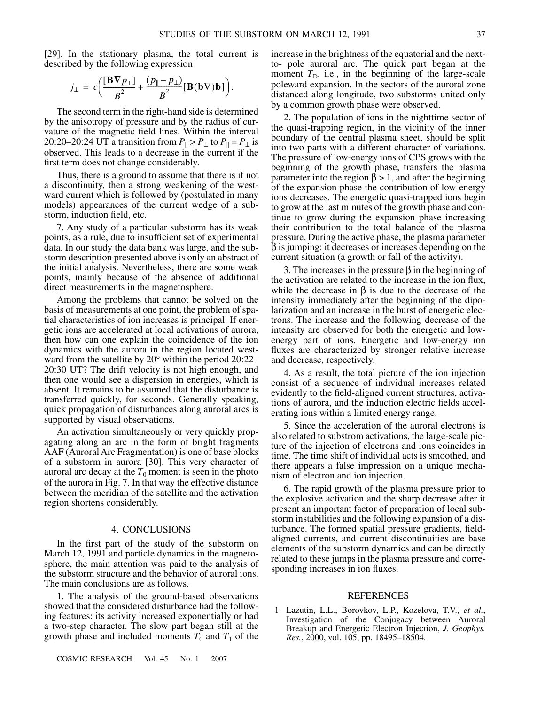[29]. In the stationary plasma, the total current is described by the following expression

$$
j_{\perp} = c \bigg( \frac{[\mathbf{B} \nabla p_{\perp}]}{B^2} + \frac{(p_{\parallel} - p_{\perp})}{B^2} [\mathbf{B} (\mathbf{b} \nabla) \mathbf{b}] \bigg).
$$

The second term in the right-hand side is determined by the anisotropy of pressure and by the radius of curvature of the magnetic field lines. Within the interval 20:20–20:24 UT a transition from  $P_{\parallel} > P_{\perp}$  to  $P_{\parallel} = P_{\perp}$  is observed. This leads to a decrease in the current if the first term does not change considerably.

Thus, there is a ground to assume that there is if not a discontinuity, then a strong weakening of the westward current which is followed by (postulated in many models) appearances of the current wedge of a substorm, induction field, etc.

7. Any study of a particular substorm has its weak points, as a rule, due to insufficient set of experimental data. In our study the data bank was large, and the substorm description presented above is only an abstract of the initial analysis. Nevertheless, there are some weak points, mainly because of the absence of additional direct measurements in the magnetosphere.

Among the problems that cannot be solved on the basis of measurements at one point, the problem of spatial characteristics of ion increases is principal. If energetic ions are accelerated at local activations of aurora, then how can one explain the coincidence of the ion dynamics with the aurora in the region located westward from the satellite by 20° within the period 20:22– 20:30 UT? The drift velocity is not high enough, and then one would see a dispersion in energies, which is absent. It remains to be assumed that the disturbance is transferred quickly, for seconds. Generally speaking, quick propagation of disturbances along auroral arcs is supported by visual observations.

An activation simultaneously or very quickly propagating along an arc in the form of bright fragments AAF (Auroral Arc Fragmentation) is one of base blocks of a substorm in aurora [30]. This very character of auroral arc decay at the  $T_0$  moment is seen in the photo of the aurora in Fig. 7. In that way the effective distance between the meridian of the satellite and the activation region shortens considerably.

## 4. CONCLUSIONS

In the first part of the study of the substorm on March 12, 1991 and particle dynamics in the magnetosphere, the main attention was paid to the analysis of the substorm structure and the behavior of auroral ions. The main conclusions are as follows.

1. The analysis of the ground-based observations showed that the considered disturbance had the following features: its activity increased exponentially or had a two-step character. The slow part began still at the growth phase and included moments  $T_0$  and  $T_1$  of the

COSMIC RESEARCH Vol. 45 No. 1 2007

increase in the brightness of the equatorial and the nextto- pole auroral arc. The quick part began at the moment  $T<sub>D</sub>$ , i.e., in the beginning of the large-scale poleward expansion. In the sectors of the auroral zone distanced along longitude, two substorms united only by a common growth phase were observed.

2. The population of ions in the nighttime sector of the quasi-trapping region, in the vicinity of the inner boundary of the central plasma sheet, should be split into two parts with a different character of variations. The pressure of low-energy ions of CPS grows with the beginning of the growth phase, transfers the plasma parameter into the region  $\beta > 1$ , and after the beginning of the expansion phase the contribution of low-energy ions decreases. The energetic quasi-trapped ions begin to grow at the last minutes of the growth phase and continue to grow during the expansion phase increasing their contribution to the total balance of the plasma pressure. During the active phase, the plasma parameter β is jumping: it decreases or increases depending on the current situation (a growth or fall of the activity).

3. The increases in the pressure β in the beginning of the activation are related to the increase in the ion flux, while the decrease in  $\beta$  is due to the decrease of the intensity immediately after the beginning of the dipolarization and an increase in the burst of energetic electrons. The increase and the following decrease of the intensity are observed for both the energetic and lowenergy part of ions. Energetic and low-energy ion fluxes are characterized by stronger relative increase and decrease, respectively.

4. As a result, the total picture of the ion injection consist of a sequence of individual increases related evidently to the field-aligned current structures, activations of aurora, and the induction electric fields accelerating ions within a limited energy range.

5. Since the acceleration of the auroral electrons is also related to substrom activations, the large-scale picture of the injection of electrons and ions coincides in time. The time shift of individual acts is smoothed, and there appears a false impression on a unique mechanism of electron and ion injection.

6. The rapid growth of the plasma pressure prior to the explosive activation and the sharp decrease after it present an important factor of preparation of local substorm instabilities and the following expansion of a disturbance. The formed spatial pressure gradients, fieldaligned currents, and current discontinuities are base elements of the substorm dynamics and can be directly related to these jumps in the plasma pressure and corresponding increases in ion fluxes.

#### REFERENCES

1. Lazutin, L.L., Borovkov, L.P., Kozelova, T.V., *et al.*, Investigation of the Conjugacy between Auroral Breakup and Energetic Electron Injection, *J. Geophys. Res.*, 2000, vol. 105, pp. 18495–18504.